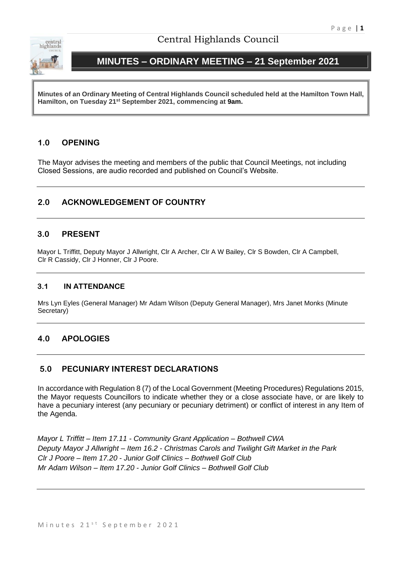

# Central Highlands Council

# **MINUTES – ORDINARY MEETING – 21 September 2021**

**Minutes of an Ordinary Meeting of Central Highlands Council scheduled held at the Hamilton Town Hall, Hamilton, on Tuesday 21st September 2021, commencing at 9am.**

# **1.0 OPENING**

The Mayor advises the meeting and members of the public that Council Meetings, not including Closed Sessions, are audio recorded and published on Council's Website.

# **2.0 ACKNOWLEDGEMENT OF COUNTRY**

# **3.0 PRESENT**

Mayor L Triffitt, Deputy Mayor J Allwright, Clr A Archer, Clr A W Bailey, Clr S Bowden, Clr A Campbell, Clr R Cassidy, Clr J Honner, Clr J Poore.

# **3.1 IN ATTENDANCE**

Mrs Lyn Eyles (General Manager) Mr Adam Wilson (Deputy General Manager), Mrs Janet Monks (Minute Secretary)

# **4.0 APOLOGIES**

# **5.0 PECUNIARY INTEREST DECLARATIONS**

In accordance with Regulation 8 (7) of the Local Government (Meeting Procedures) Regulations 2015, the Mayor requests Councillors to indicate whether they or a close associate have, or are likely to have a pecuniary interest (any pecuniary or pecuniary detriment) or conflict of interest in any Item of the Agenda.

*Mayor L Triffitt – Item 17.11 - Community Grant Application – Bothwell CWA Deputy Mayor J Allwright – Item 16.2 - Christmas Carols and Twilight Gift Market in the Park Clr J Poore – Item 17.20 - Junior Golf Clinics – Bothwell Golf Club Mr Adam Wilson – Item 17.20 - Junior Golf Clinics – Bothwell Golf Club*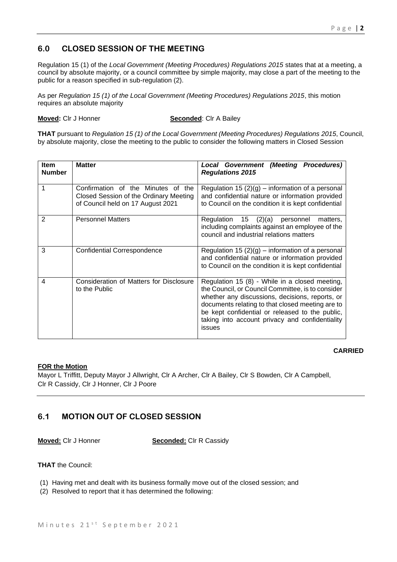# **6.0 CLOSED SESSION OF THE MEETING**

Regulation 15 (1) of the *Local Government (Meeting Procedures) Regulations 2015* states that at a meeting, a council by absolute majority, or a council committee by simple majority, may close a part of the meeting to the public for a reason specified in sub-regulation (2).

As per *Regulation 15 (1) of the Local Government (Meeting Procedures) Regulations 2015*, this motion requires an absolute majority

**Moved:** Clr J Honner **Seconded**: Clr A Bailey

**THAT** pursuant to *Regulation 15 (1) of the Local Government (Meeting Procedures) Regulations 2015*, Council, by absolute majority, close the meeting to the public to consider the following matters in Closed Session

| <b>Item</b><br><b>Number</b> | <b>Matter</b>                                                                                                     | Local Government (Meeting Procedures)<br><b>Regulations 2015</b>                                                                                                                                                                                                                                                           |
|------------------------------|-------------------------------------------------------------------------------------------------------------------|----------------------------------------------------------------------------------------------------------------------------------------------------------------------------------------------------------------------------------------------------------------------------------------------------------------------------|
| 1                            | Confirmation of the Minutes of the<br>Closed Session of the Ordinary Meeting<br>of Council held on 17 August 2021 | Regulation 15 $(2)(g)$ – information of a personal<br>and confidential nature or information provided<br>to Council on the condition it is kept confidential                                                                                                                                                               |
| $\mathbf{2}$                 | <b>Personnel Matters</b>                                                                                          | (2)(a)<br>15<br>Regulation<br>personnel<br>matters,<br>including complaints against an employee of the<br>council and industrial relations matters                                                                                                                                                                         |
| 3                            | <b>Confidential Correspondence</b>                                                                                | Regulation 15 $(2)(g)$ – information of a personal<br>and confidential nature or information provided<br>to Council on the condition it is kept confidential                                                                                                                                                               |
| 4                            | <b>Consideration of Matters for Disclosure</b><br>to the Public                                                   | Regulation 15 (8) - While in a closed meeting,<br>the Council, or Council Committee, is to consider<br>whether any discussions, decisions, reports, or<br>documents relating to that closed meeting are to<br>be kept confidential or released to the public,<br>taking into account privacy and confidentiality<br>issues |

# **CARRIED**

### **FOR the Motion**

Mayor L Triffitt, Deputy Mayor J Allwright, Clr A Archer, Clr A Bailey, Clr S Bowden, Clr A Campbell, Clr R Cassidy, Clr J Honner, Clr J Poore

# **6.1 MOTION OUT OF CLOSED SESSION**

**Moved:** Clr J Honner **Seconded:** Clr R Cassidy

**THAT** the Council:

- (1) Having met and dealt with its business formally move out of the closed session; and
- (2) Resolved to report that it has determined the following: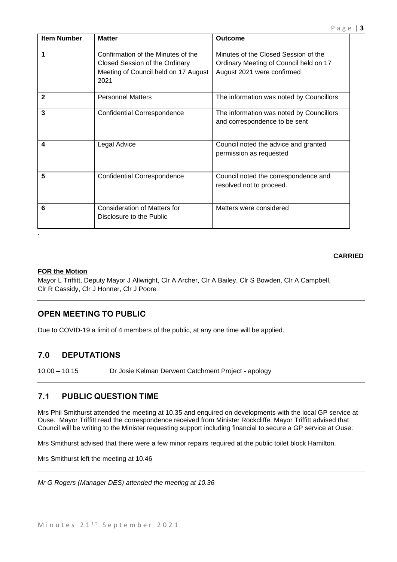| <b>Item Number</b> | <b>Matter</b>                                                                                                        | <b>Outcome</b>                                                                                               |
|--------------------|----------------------------------------------------------------------------------------------------------------------|--------------------------------------------------------------------------------------------------------------|
| 1                  | Confirmation of the Minutes of the<br>Closed Session of the Ordinary<br>Meeting of Council held on 17 August<br>2021 | Minutes of the Closed Session of the<br>Ordinary Meeting of Council held on 17<br>August 2021 were confirmed |
| $\mathbf{2}$       | <b>Personnel Matters</b>                                                                                             | The information was noted by Councillors                                                                     |
| 3                  | <b>Confidential Correspondence</b>                                                                                   | The information was noted by Councillors<br>and correspondence to be sent                                    |
| 4                  | Legal Advice                                                                                                         | Council noted the advice and granted<br>permission as requested                                              |
| 5                  | <b>Confidential Correspondence</b>                                                                                   | Council noted the correspondence and<br>resolved not to proceed.                                             |
| 6                  | Consideration of Matters for<br>Disclosure to the Public                                                             | Matters were considered                                                                                      |

### **CARRIED**

#### **FOR the Motion**

Mayor L Triffitt, Deputy Mayor J Allwright, Clr A Archer, Clr A Bailey, Clr S Bowden, Clr A Campbell, Clr R Cassidy, Clr J Honner, Clr J Poore

# **OPEN MEETING TO PUBLIC**

Due to COVID-19 a limit of 4 members of the public, at any one time will be applied.

# **7.0 DEPUTATIONS**

10.00 – 10.15 Dr Josie Kelman Derwent Catchment Project - apology

# **7.1 PUBLIC QUESTION TIME**

Mrs Phil Smithurst attended the meeting at 10.35 and enquired on developments with the local GP service at Ouse. Mayor Triffitt read the correspondence received from Minister Rockcliffe. Mayor Triffitt advised that Council will be writing to the Minister requesting support including financial to secure a GP service at Ouse.

Mrs Smithurst advised that there were a few minor repairs required at the public toilet block Hamilton.

Mrs Smithurst left the meeting at 10.46

*Mr G Rogers (Manager DES) attended the meeting at 10.36*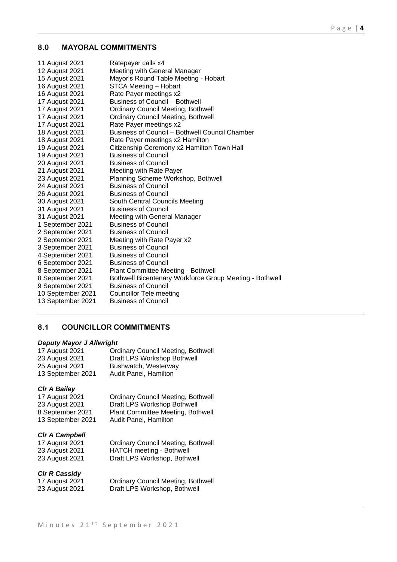## **8.0 MAYORAL COMMITMENTS**

| 11 August 2021    | Ratepayer calls x4                                      |
|-------------------|---------------------------------------------------------|
| 12 August 2021    | Meeting with General Manager                            |
| 15 August 2021    | Mayor's Round Table Meeting - Hobart                    |
| 16 August 2021    | STCA Meeting - Hobart                                   |
| 16 August 2021    | Rate Payer meetings x2                                  |
| 17 August 2021    | <b>Business of Council - Bothwell</b>                   |
| 17 August 2021    | <b>Ordinary Council Meeting, Bothwell</b>               |
| 17 August 2021    | <b>Ordinary Council Meeting, Bothwell</b>               |
| 17 August 2021    | Rate Payer meetings x2                                  |
| 18 August 2021    | <b>Business of Council - Bothwell Council Chamber</b>   |
| 18 August 2021    | Rate Payer meetings x2 Hamilton                         |
| 19 August 2021    | Citizenship Ceremony x2 Hamilton Town Hall              |
| 19 August 2021    | <b>Business of Council</b>                              |
| 20 August 2021    | <b>Business of Council</b>                              |
| 21 August 2021    | Meeting with Rate Payer                                 |
| 23 August 2021    | Planning Scheme Workshop, Bothwell                      |
| 24 August 2021    | <b>Business of Council</b>                              |
| 26 August 2021    | <b>Business of Council</b>                              |
| 30 August 2021    | South Central Councils Meeting                          |
| 31 August 2021    | <b>Business of Council</b>                              |
| 31 August 2021    | Meeting with General Manager                            |
| 1 September 2021  | <b>Business of Council</b>                              |
| 2 September 2021  | <b>Business of Council</b>                              |
| 2 September 2021  | Meeting with Rate Payer x2                              |
| 3 September 2021  | <b>Business of Council</b>                              |
| 4 September 2021  | <b>Business of Council</b>                              |
| 6 September 2021  | <b>Business of Council</b>                              |
| 8 September 2021  | <b>Plant Committee Meeting - Bothwell</b>               |
| 8 September 2021  | Bothwell Bicentenary Workforce Group Meeting - Bothwell |
| 9 September 2021  | <b>Business of Council</b>                              |
| 10 September 2021 | <b>Councillor Tele meeting</b>                          |
| 13 September 2021 | <b>Business of Council</b>                              |

# **8.1 COUNCILLOR COMMITMENTS**

#### *Deputy Mayor J Allwright*

| 17 August 2021    | <b>Ordinary Council Meeting, Bothwell</b> |
|-------------------|-------------------------------------------|
| 23 August 2021    | Draft LPS Workshop Bothwell               |
| 25 August 2021    | Bushwatch, Westerway                      |
| 13 September 2021 | Audit Panel, Hamilton                     |

## *Clr A Bailey*

| 17 August 2021    | <b>Ordinary Council Meeting, Bothwell</b> |
|-------------------|-------------------------------------------|
| 23 August 2021    | Draft LPS Workshop Bothwell               |
| 8 September 2021  | Plant Committee Meeting, Bothwell         |
| 13 September 2021 | Audit Panel, Hamilton                     |

## *Clr A Campbell*

| 17 August 2021 | <b>Ordinary Council Meeting, Bothwell</b> |
|----------------|-------------------------------------------|
| 23 August 2021 | HATCH meeting - Bothwell                  |
| 23 August 2021 | Draft LPS Workshop, Bothwell              |

## *Clr R Cassidy*

| 17 August 2021 |  |
|----------------|--|
| 23 August 2021 |  |

17 August 2021 Ordinary Council Meeting, Bothwell 23 August 2021 Draft LPS Workshop, Bothwell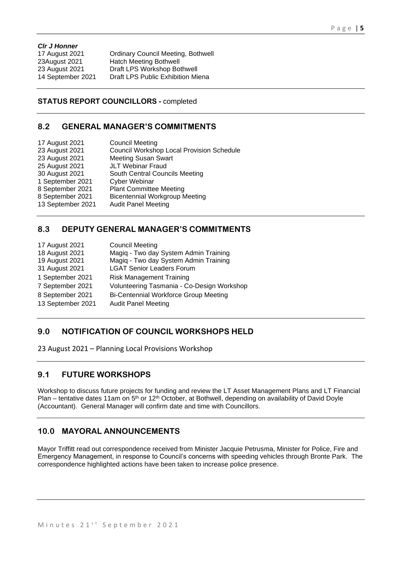#### *Clr J Honner*

17 August 2021 Ordinary Council Meeting, Bothwell 23August 2021 Hatch Meeting Bothwell 23 August 2021 Draft LPS Workshop Bothwell 14 September 2021 Draft LPS Public Exhibition Miena

## **STATUS REPORT COUNCILLORS -** completed

# **8.2 GENERAL MANAGER'S COMMITMENTS**

| 17 August 2021    | <b>Council Meeting</b>                           |
|-------------------|--------------------------------------------------|
| 23 August 2021    | <b>Council Workshop Local Provision Schedule</b> |
| 23 August 2021    | <b>Meeting Susan Swart</b>                       |
| 25 August 2021    | <b>JLT Webinar Fraud</b>                         |
| 30 August 2021    | South Central Councils Meeting                   |
| 1 September 2021  | <b>Cyber Webinar</b>                             |
| 8 September 2021  | <b>Plant Committee Meeting</b>                   |
| 8 September 2021  | <b>Bicentennial Workgroup Meeting</b>            |
| 13 September 2021 | <b>Audit Panel Meeting</b>                       |
|                   |                                                  |

# **8.3 DEPUTY GENERAL MANAGER'S COMMITMENTS**

| 17 August 2021    | <b>Council Meeting</b>                       |
|-------------------|----------------------------------------------|
| 18 August 2021    | Magiq - Two day System Admin Training        |
| 19 August 2021    | Magiq - Two day System Admin Training        |
| 31 August 2021    | <b>LGAT Senior Leaders Forum</b>             |
| 1 September 2021  | <b>Risk Management Training</b>              |
| 7 September 2021  | Volunteering Tasmania - Co-Design Workshop   |
| 8 September 2021  | <b>Bi-Centennial Workforce Group Meeting</b> |
| 13 September 2021 | <b>Audit Panel Meeting</b>                   |
|                   |                                              |

# **9.0 NOTIFICATION OF COUNCIL WORKSHOPS HELD**

23 August 2021 – Planning Local Provisions Workshop

# **9.1 FUTURE WORKSHOPS**

Workshop to discuss future projects for funding and review the LT Asset Management Plans and LT Financial Plan – tentative dates 11am on 5<sup>th</sup> or 12<sup>th</sup> October, at Bothwell, depending on availability of David Doyle (Accountant). General Manager will confirm date and time with Councillors.

# **10.0 MAYORAL ANNOUNCEMENTS**

Mayor Triffitt read out correspondence received from Minister Jacquie Petrusma, Minister for Police, Fire and Emergency Management, in response to Council's concerns with speeding vehicles through Bronte Park. The correspondence highlighted actions have been taken to increase police presence.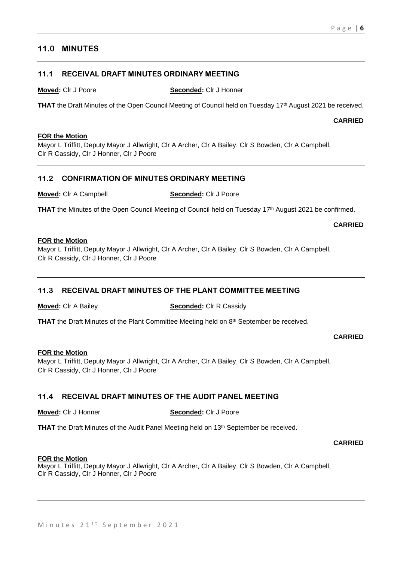# **11.0 MINUTES**

# **11.1 RECEIVAL DRAFT MINUTES ORDINARY MEETING**

**Moved:** Clr J Poore **Seconded:** Clr J Honner

**THAT** the Draft Minutes of the Open Council Meeting of Council held on Tuesday 17<sup>th</sup> August 2021 be received.

**CARRIED**

#### **FOR the Motion**

Mayor L Triffitt, Deputy Mayor J Allwright, Clr A Archer, Clr A Bailey, Clr S Bowden, Clr A Campbell, Clr R Cassidy, Clr J Honner, Clr J Poore

# **11.2 CONFIRMATION OF MINUTES ORDINARY MEETING**

**Moved:** Clr A Campbell **Seconded:** Clr J Poore

**THAT** the Minutes of the Open Council Meeting of Council held on Tuesday 17<sup>th</sup> August 2021 be confirmed.

**CARRIED**

#### **FOR the Motion**

Mayor L Triffitt, Deputy Mayor J Allwright, Clr A Archer, Clr A Bailey, Clr S Bowden, Clr A Campbell, Clr R Cassidy, Clr J Honner, Clr J Poore

# **11.3 RECEIVAL DRAFT MINUTES OF THE PLANT COMMITTEE MEETING**

**Moved:** Clr A Bailey **Seconded:** Clr R Cassidy

THAT the Draft Minutes of the Plant Committee Meeting held on 8<sup>th</sup> September be received.

**CARRIED**

#### **FOR the Motion**

Mayor L Triffitt, Deputy Mayor J Allwright, Clr A Archer, Clr A Bailey, Clr S Bowden, Clr A Campbell, Clr R Cassidy, Clr J Honner, Clr J Poore

# **11.4 RECEIVAL DRAFT MINUTES OF THE AUDIT PANEL MEETING**

**Moved:** Clr J Honner **Seconded:** Clr J Poore

**THAT** the Draft Minutes of the Audit Panel Meeting held on 13<sup>th</sup> September be received.

**CARRIED**

#### **FOR the Motion**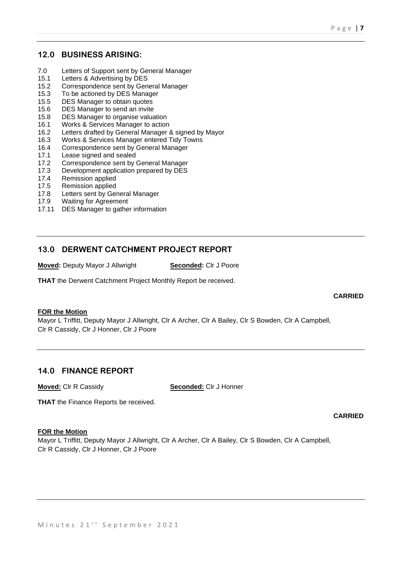# **12.0 BUSINESS ARISING:**

- 7.0 Letters of Support sent by General Manager
- 15.1 Letters & Advertising by DES
- 15.2 Correspondence sent by General Manager
- 15.3 To be actioned by DES Manager
- 15.5 DES Manager to obtain quotes
- 15.6 DES Manager to send an invite
- 15.8 DES Manager to organise valuation
- 16.1 Works & Services Manager to action
- 16.2 Letters drafted by General Manager & signed by Mayor
- 16.3 Works & Services Manager entered Tidy Towns
- 16.4 Correspondence sent by General Manager
- 17.1 Lease signed and sealed
- 17.2 Correspondence sent by General Manager
- 17.3 Development application prepared by DES
- 17.4 Remission applied
- 17.5 Remission applied
- 17.8 Letters sent by General Manager<br>17.9 Waiting for Agreement
- Waiting for Agreement
- 17.11 DES Manager to gather information

# **13.0 DERWENT CATCHMENT PROJECT REPORT**

**Moved:** Deputy Mayor J Allwright **Seconded:** Clr J Poore

**THAT** the Derwent Catchment Project Monthly Report be received.

### **CARRIED**

### **FOR the Motion**

Mayor L Triffitt, Deputy Mayor J Allwright, Clr A Archer, Clr A Bailey, Clr S Bowden, Clr A Campbell, Clr R Cassidy, Clr J Honner, Clr J Poore

# **14.0 FINANCE REPORT**

**Moved:** Clr R Cassidy **Seconded:** Clr J Honner

**THAT** the Finance Reports be received.

### **CARRIED**

#### **FOR the Motion**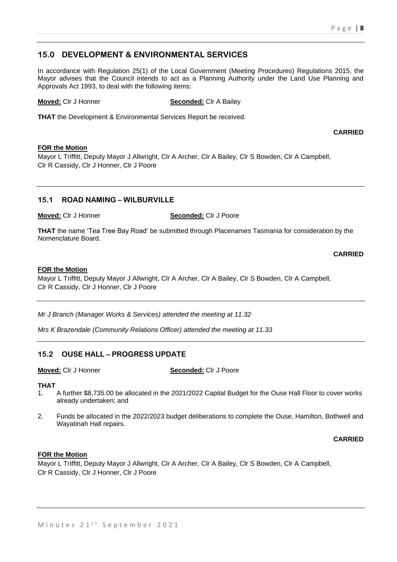# **15.0 DEVELOPMENT & ENVIRONMENTAL SERVICES**

In accordance with Regulation 25(1) of the Local Government (Meeting Procedures) Regulations 2015, the Mayor advises that the Council intends to act as a Planning Authority under the Land Use Planning and Approvals Act 1993, to deal with the following items:

**Moved:** Clr J Honner **Seconded:** Clr A Bailey

**THAT** the Development & Environmental Services Report be received.

**CARRIED**

### **FOR the Motion**

Mayor L Triffitt, Deputy Mayor J Allwright, Clr A Archer, Clr A Bailey, Clr S Bowden, Clr A Campbell, Clr R Cassidy, Clr J Honner, Clr J Poore

# **15.1 ROAD NAMING – WILBURVILLE**

**Moved:** Clr J Honner **Seconded:** Clr J Poore

**THAT** the name 'Tea Tree Bay Road' be submitted through Placenames Tasmania for consideration by the Nomenclature Board.

**CARRIED**

#### **FOR the Motion**

Mayor L Triffitt, Deputy Mayor J Allwright, Clr A Archer, Clr A Bailey, Clr S Bowden, Clr A Campbell, Clr R Cassidy, Clr J Honner, Clr J Poore

*Mr J Branch (Manager Works & Services) attended the meeting at 11.32*

*Mrs K Brazendale (Community Relations Officer) attended the meeting at 11.33*

# **15.2 OUSE HALL – PROGRESS UPDATE**

**Moved:** Clr J Honner **Seconded:** Clr J Poore

### **THAT**

- 1. A further \$8,735.00 be allocated in the 2021/2022 Capital Budget for the Ouse Hall Floor to cover works already undertaken; and
- 2. Funds be allocated in the 2022/2023 budget deliberations to complete the Ouse, Hamilton, Bothwell and Wayatinah Hall repairs.

**CARRIED**

### **FOR the Motion**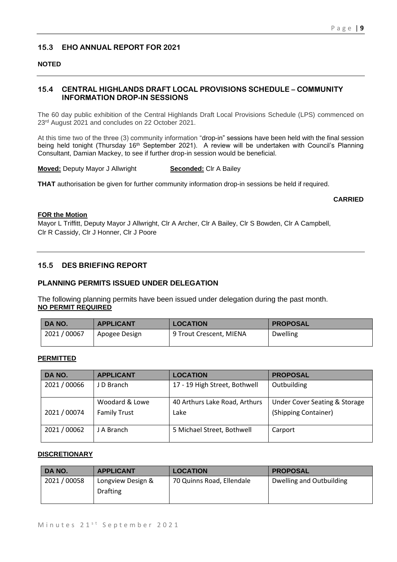# **15.3 EHO ANNUAL REPORT FOR 2021**

### **NOTED**

# **15.4 CENTRAL HIGHLANDS DRAFT LOCAL PROVISIONS SCHEDULE – COMMUNITY INFORMATION DROP-IN SESSIONS**

The 60 day public exhibition of the Central Highlands Draft Local Provisions Schedule (LPS) commenced on 23<sup>rd</sup> August 2021 and concludes on 22 October 2021.

At this time two of the three (3) community information "drop-in" sessions have been held with the final session being held tonight (Thursday 16<sup>th</sup> September 2021). A review will be undertaken with Council's Planning Consultant, Damian Mackey, to see if further drop-in session would be beneficial.

**Moved:** Deputy Mayor J Allwright **Seconded:** Clr A Bailey

**THAT** authorisation be given for further community information drop-in sessions be held if required.

#### **CARRIED**

### **FOR the Motion**

Mayor L Triffitt, Deputy Mayor J Allwright, Clr A Archer, Clr A Bailey, Clr S Bowden, Clr A Campbell, Clr R Cassidy, Clr J Honner, Clr J Poore

# **15.5 DES BRIEFING REPORT**

## **PLANNING PERMITS ISSUED UNDER DELEGATION**

The following planning permits have been issued under delegation during the past month. **NO PERMIT REQUIRED**

| DA NO.       | <b>APPLICANT</b> | <b>LOCATION</b>         | <b>PROPOSAL</b> |
|--------------|------------------|-------------------------|-----------------|
| 2021 / 00067 | Apogee Design    | 9 Trout Crescent, MIENA | <b>Dwelling</b> |

#### **PERMITTED**

| DA NO.       | <b>APPLICANT</b>    | <b>LOCATION</b>               | <b>PROPOSAL</b>                          |
|--------------|---------------------|-------------------------------|------------------------------------------|
| 2021 / 00066 | J D Branch          | 17 - 19 High Street, Bothwell | Outbuilding                              |
|              | Woodard & Lowe      | 40 Arthurs Lake Road, Arthurs | <b>Under Cover Seating &amp; Storage</b> |
| 2021 / 00074 | <b>Family Trust</b> | Lake                          | (Shipping Container)                     |
| 2021 / 00062 | J A Branch          | 5 Michael Street, Bothwell    | Carport                                  |

#### **DISCRETIONARY**

| DA NO.       | <b>APPLICANT</b>  | <b>LOCATION</b>           | <b>PROPOSAL</b>          |
|--------------|-------------------|---------------------------|--------------------------|
| 2021 / 00058 | Longview Design & | 70 Quinns Road, Ellendale | Dwelling and Outbuilding |
|              | <b>Drafting</b>   |                           |                          |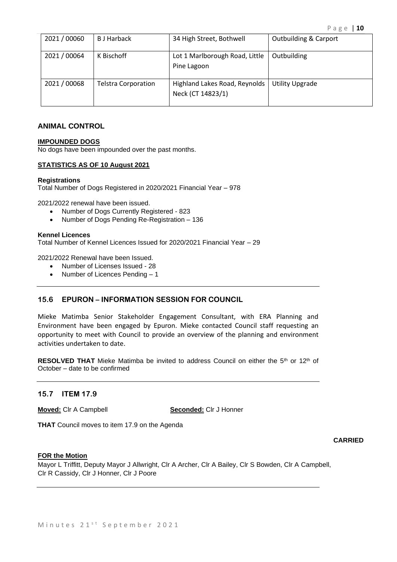| 2021 / 00060 | <b>B</b> J Harback         | 34 High Street, Bothwell                           | <b>Outbuilding &amp; Carport</b> |
|--------------|----------------------------|----------------------------------------------------|----------------------------------|
| 2021 / 00064 | K Bischoff                 | Lot 1 Marlborough Road, Little<br>Pine Lagoon      | Outbuilding                      |
| 2021 / 00068 | <b>Telstra Corporation</b> | Highland Lakes Road, Reynolds<br>Neck (CT 14823/1) | <b>Utility Upgrade</b>           |

#### **ANIMAL CONTROL**

#### **IMPOUNDED DOGS**

No dogs have been impounded over the past months.

#### **STATISTICS AS OF 10 August 2021**

#### **Registrations**

Total Number of Dogs Registered in 2020/2021 Financial Year – 978

2021/2022 renewal have been issued.

- Number of Dogs Currently Registered 823
- Number of Dogs Pending Re-Registration 136

#### **Kennel Licences**

Total Number of Kennel Licences Issued for 2020/2021 Financial Year – 29

2021/2022 Renewal have been Issued.

- Number of Licenses Issued 28
- Number of Licences Pending 1

### **15.6 EPURON – INFORMATION SESSION FOR COUNCIL**

Mieke Matimba Senior Stakeholder Engagement Consultant, with ERA Planning and Environment have been engaged by Epuron. Mieke contacted Council staff requesting an opportunity to meet with Council to provide an overview of the planning and environment activities undertaken to date.

**RESOLVED THAT** Mieke Matimba be invited to address Council on either the 5<sup>th</sup> or 12<sup>th</sup> of October – date to be confirmed

### **15.7 ITEM 17.9**

**Moved:** Clr A Campbell **Seconded:** Clr J Honner

**THAT** Council moves to item 17.9 on the Agenda

#### **CARRIED**

#### **FOR the Motion**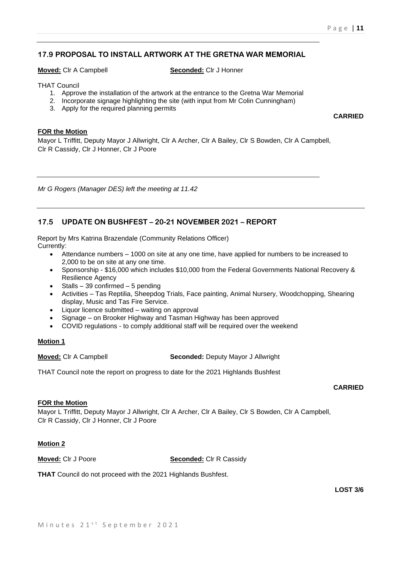## **17.9 PROPOSAL TO INSTALL ARTWORK AT THE GRETNA WAR MEMORIAL**

**Moved:** Clr A Campbell **Seconded:** Clr J Honner

THAT Council

- 1. Approve the installation of the artwork at the entrance to the Gretna War Memorial
- 2. Incorporate signage highlighting the site (with input from Mr Colin Cunningham)
- 3. Apply for the required planning permits

**CARRIED**

#### **FOR the Motion**

Mayor L Triffitt, Deputy Mayor J Allwright, Clr A Archer, Clr A Bailey, Clr S Bowden, Clr A Campbell, Clr R Cassidy, Clr J Honner, Clr J Poore

*Mr G Rogers (Manager DES) left the meeting at 11.42*

## **17.5 UPDATE ON BUSHFEST – 20-21 NOVEMBER 2021 – REPORT**

Report by Mrs Katrina Brazendale (Community Relations Officer) Currently:

- Attendance numbers 1000 on site at any one time, have applied for numbers to be increased to 2,000 to be on site at any one time.
- Sponsorship \$16,000 which includes \$10,000 from the Federal Governments National Recovery & Resilience Agency
- Stalls 39 confirmed 5 pending
- Activities Tas Reptilia, Sheepdog Trials, Face painting, Animal Nursery, Woodchopping, Shearing display, Music and Tas Fire Service.
- Liquor licence submitted waiting on approval
- Signage on Brooker Highway and Tasman Highway has been approved
- COVID regulations to comply additional staff will be required over the weekend

#### **Motion 1**

**Moved:** Clr A Campbell **Seconded:** Deputy Mayor J Allwright

THAT Council note the report on progress to date for the 2021 Highlands Bushfest

### **CARRIED**

## **FOR the Motion**

Mayor L Triffitt, Deputy Mayor J Allwright, Clr A Archer, Clr A Bailey, Clr S Bowden, Clr A Campbell, Clr R Cassidy, Clr J Honner, Clr J Poore

### **Motion 2**

**Moved:** Clr J Poore **Seconded:** Clr R Cassidy

**THAT** Council do not proceed with the 2021 Highlands Bushfest.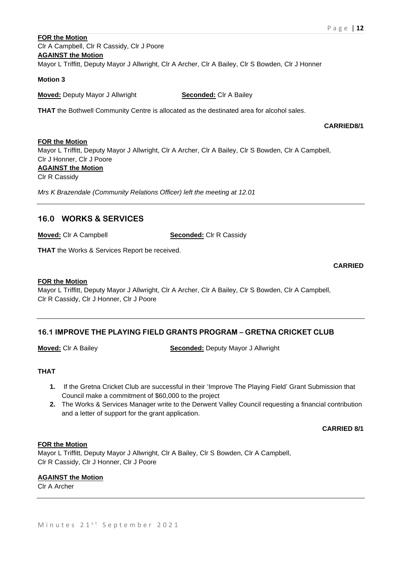# **FOR the Motion** Clr A Campbell, Clr R Cassidy, Clr J Poore **AGAINST the Motion** Mayor L Triffitt, Deputy Mayor J Allwright, Clr A Archer, Clr A Bailey, Clr S Bowden, Clr J Honner

#### **Motion 3**

**Moved:** Deputy Mayor J Allwright **Seconded:** Clr A Bailey

**THAT** the Bothwell Community Centre is allocated as the destinated area for alcohol sales.

#### **CARRIED8/1**

#### **FOR the Motion**

Mayor L Triffitt, Deputy Mayor J Allwright, Clr A Archer, Clr A Bailey, Clr S Bowden, Clr A Campbell, Clr J Honner, Clr J Poore **AGAINST the Motion**

Clr R Cassidy

*Mrs K Brazendale (Community Relations Officer) left the meeting at 12.01*

# **16.0 WORKS & SERVICES**

**Moved:** Clr A Campbell **Seconded:** Clr R Cassidy

**THAT** the Works & Services Report be received.

### **CARRIED**

### **FOR the Motion**

Mayor L Triffitt, Deputy Mayor J Allwright, Clr A Archer, Clr A Bailey, Clr S Bowden, Clr A Campbell, Clr R Cassidy, Clr J Honner, Clr J Poore

## **16.1 IMPROVE THE PLAYING FIELD GRANTS PROGRAM – GRETNA CRICKET CLUB**

**Moved:** Clr A Bailey **Seconded:** Deputy Mayor J Allwright

### **THAT**

- **1.** If the Gretna Cricket Club are successful in their 'Improve The Playing Field' Grant Submission that Council make a commitment of \$60,000 to the project
- **2.** The Works & Services Manager write to the Derwent Valley Council requesting a financial contribution and a letter of support for the grant application.

**CARRIED 8/1**

#### **FOR the Motion**

Mayor L Triffitt, Deputy Mayor J Allwright, Clr A Bailey, Clr S Bowden, Clr A Campbell, Clr R Cassidy, Clr J Honner, Clr J Poore

### **AGAINST the Motion**

Clr A Archer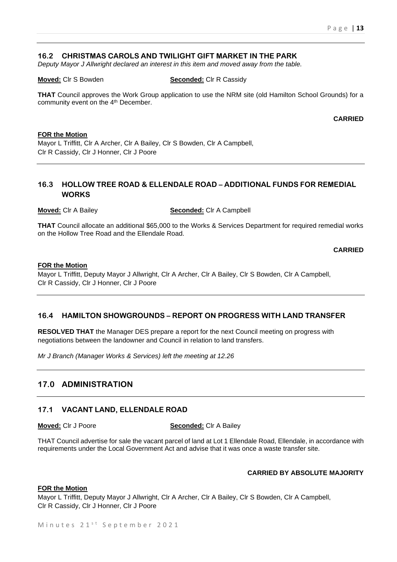## **16.2 CHRISTMAS CAROLS AND TWILIGHT GIFT MARKET IN THE PARK**

*Deputy Mayor J Allwright declared an interest in this item and moved away from the table.*

#### **Moved:** Clr S Bowden **Seconded:** Clr R Cassidy

**THAT** Council approves the Work Group application to use the NRM site (old Hamilton School Grounds) for a community event on the 4<sup>th</sup> December.

**CARRIED**

#### **FOR the Motion**

Mayor L Triffitt, Clr A Archer, Clr A Bailey, Clr S Bowden, Clr A Campbell, Clr R Cassidy, Clr J Honner, Clr J Poore

# **16.3 HOLLOW TREE ROAD & ELLENDALE ROAD – ADDITIONAL FUNDS FOR REMEDIAL WORKS**

**Moved:** Clr A Bailey **Seconded:** Clr A Campbell

**THAT** Council allocate an additional \$65,000 to the Works & Services Department for required remedial works on the Hollow Tree Road and the Ellendale Road.

**CARRIED**

#### **FOR the Motion**

Mayor L Triffitt, Deputy Mayor J Allwright, Clr A Archer, Clr A Bailey, Clr S Bowden, Clr A Campbell, Clr R Cassidy, Clr J Honner, Clr J Poore

## **16.4 HAMILTON SHOWGROUNDS – REPORT ON PROGRESS WITH LAND TRANSFER**

**RESOLVED THAT** the Manager DES prepare a report for the next Council meeting on progress with negotiations between the landowner and Council in relation to land transfers.

*Mr J Branch (Manager Works & Services) left the meeting at 12.26*

# **17.0 ADMINISTRATION**

### **17.1 VACANT LAND, ELLENDALE ROAD**

**Moved:** Clr J Poore **Seconded:** Clr A Bailey

THAT Council advertise for sale the vacant parcel of land at Lot 1 Ellendale Road, Ellendale, in accordance with requirements under the Local Government Act and advise that it was once a waste transfer site.

### **CARRIED BY ABSOLUTE MAJORITY**

#### **FOR the Motion**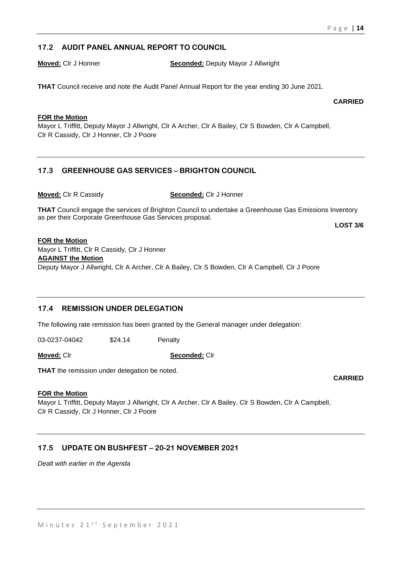# **17.2 AUDIT PANEL ANNUAL REPORT TO COUNCIL**

**Moved:** Clr J Honner **Seconded:** Deputy Mayor J Allwright

**THAT** Council receive and note the Audit Panel Annual Report for the year ending 30 June 2021.

**CARRIED**

## **FOR the Motion**

Mayor L Triffitt, Deputy Mayor J Allwright, Clr A Archer, Clr A Bailey, Clr S Bowden, Clr A Campbell, Clr R Cassidy, Clr J Honner, Clr J Poore

# **17.3 GREENHOUSE GAS SERVICES – BRIGHTON COUNCIL**

**Moved:** Clr R Cassidy **Seconded:** Clr J Honner

**THAT** Council engage the services of Brighton Council to undertake a Greenhouse Gas Emissions Inventory as per their Corporate Greenhouse Gas Services proposal.

**LOST 3/6**

### **FOR the Motion**

Mayor L Triffitt, Clr R Cassidy, Clr J Honner

# **AGAINST the Motion**

Deputy Mayor J Allwright, Clr A Archer, Clr A Bailey, Clr S Bowden, Clr A Campbell, Clr J Poore

# **17.4 REMISSION UNDER DELEGATION**

The following rate remission has been granted by the General manager under delegation:

03-0237-04042 \$24.14 Penalty

**Moved:** Clr **Seconded:** Clr

**THAT** the remission under delegation be noted.

### **FOR the Motion**

Mayor L Triffitt, Deputy Mayor J Allwright, Clr A Archer, Clr A Bailey, Clr S Bowden, Clr A Campbell, Clr R Cassidy, Clr J Honner, Clr J Poore

# **17.5 UPDATE ON BUSHFEST – 20-21 NOVEMBER 2021**

*Dealt with earlier in the Agenda*

**CARRIED**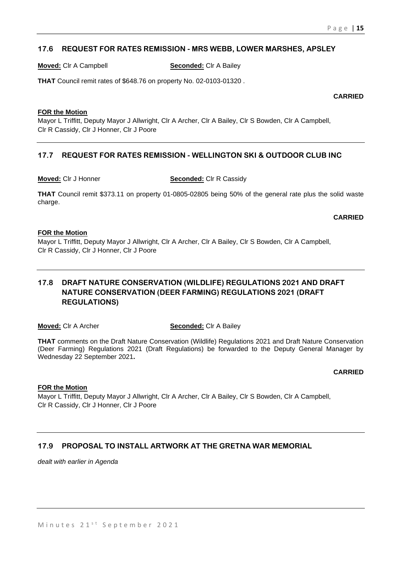## **17.6 REQUEST FOR RATES REMISSION - MRS WEBB, LOWER MARSHES, APSLEY**

**Moved:** Clr A Campbell **Seconded:** Clr A Bailey

**THAT** Council remit rates of \$648.76 on property No. 02-0103-01320 .

**CARRIED**

#### **FOR the Motion**

Mayor L Triffitt, Deputy Mayor J Allwright, Clr A Archer, Clr A Bailey, Clr S Bowden, Clr A Campbell, Clr R Cassidy, Clr J Honner, Clr J Poore

# **17.7 REQUEST FOR RATES REMISSION - WELLINGTON SKI & OUTDOOR CLUB INC**

**Moved:** Clr J Honner **Seconded:** Clr R Cassidy

**THAT** Council remit \$373.11 on property 01-0805-02805 being 50% of the general rate plus the solid waste charge.

#### **CARRIED**

#### **FOR the Motion**

Mayor L Triffitt, Deputy Mayor J Allwright, Clr A Archer, Clr A Bailey, Clr S Bowden, Clr A Campbell, Clr R Cassidy, Clr J Honner, Clr J Poore

# **17.8 DRAFT NATURE CONSERVATION (WILDLIFE) REGULATIONS 2021 AND DRAFT NATURE CONSERVATION (DEER FARMING) REGULATIONS 2021 (DRAFT REGULATIONS)**

### **Moved:** Clr A Archer **Seconded:** Clr A Bailey

**THAT** comments on the Draft Nature Conservation (Wildlife) Regulations 2021 and Draft Nature Conservation (Deer Farming) Regulations 2021 (Draft Regulations) be forwarded to the Deputy General Manager by Wednesday 22 September 2021**.**

**CARRIED**

### **FOR the Motion**

Mayor L Triffitt, Deputy Mayor J Allwright, Clr A Archer, Clr A Bailey, Clr S Bowden, Clr A Campbell, Clr R Cassidy, Clr J Honner, Clr J Poore

# **17.9 PROPOSAL TO INSTALL ARTWORK AT THE GRETNA WAR MEMORIAL**

*dealt with earlier in Agenda*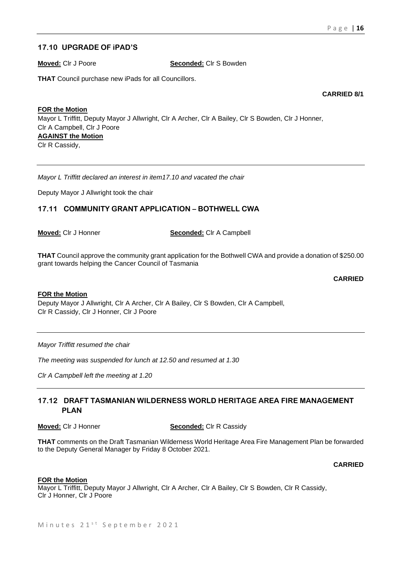# **17.10 UPGRADE OF iPAD'S**

**Moved:** Clr J Poore **Seconded:** Clr S Bowden

**THAT** Council purchase new iPads for all Councillors.

**CARRIED 8/1**

**FOR the Motion** Mayor L Triffitt, Deputy Mayor J Allwright, Clr A Archer, Clr A Bailey, Clr S Bowden, Clr J Honner, Clr A Campbell, Clr J Poore **AGAINST the Motion** Clr R Cassidy,

*Mayor L Triffitt declared an interest in item17.10 and vacated the chair*

Deputy Mayor J Allwright took the chair

## **17.11 COMMUNITY GRANT APPLICATION – BOTHWELL CWA**

**Moved:** Clr J Honner **Seconded:** Clr A Campbell

**THAT** Council approve the community grant application for the Bothwell CWA and provide a donation of \$250.00 grant towards helping the Cancer Council of Tasmania

**CARRIED**

#### **FOR the Motion**

Deputy Mayor J Allwright, Clr A Archer, Clr A Bailey, Clr S Bowden, Clr A Campbell, Clr R Cassidy, Clr J Honner, Clr J Poore

*Mayor Triffitt resumed the chair*

*The meeting was suspended for lunch at 12.50 and resumed at 1.30*

*Clr A Campbell left the meeting at 1.20*

## **17.12 DRAFT TASMANIAN WILDERNESS WORLD HERITAGE AREA FIRE MANAGEMENT PLAN**

**Moved:** Clr J Honner **Seconded:** Clr R Cassidy

**THAT** comments on the Draft Tasmanian Wilderness World Heritage Area Fire Management Plan be forwarded to the Deputy General Manager by Friday 8 October 2021.

#### **CARRIED**

#### **FOR the Motion**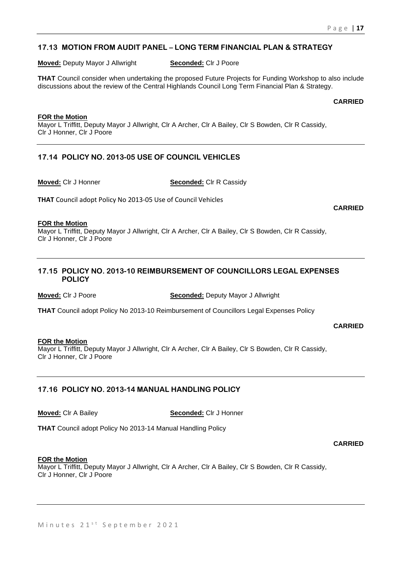# **17.13 MOTION FROM AUDIT PANEL – LONG TERM FINANCIAL PLAN & STRATEGY**

**Moved:** Deputy Mayor J Allwright **Seconded:** Clr J Poore

**THAT** Council consider when undertaking the proposed Future Projects for Funding Workshop to also include discussions about the review of the Central Highlands Council Long Term Financial Plan & Strategy.

**CARRIED**

#### **FOR the Motion**

Mayor L Triffitt, Deputy Mayor J Allwright, Clr A Archer, Clr A Bailey, Clr S Bowden, Clr R Cassidy, Clr J Honner, Clr J Poore

# **17.14 POLICY NO. 2013-05 USE OF COUNCIL VEHICLES**

**Moved:** Clr J Honner **Seconded:** Clr R Cassidy

**THAT** Council adopt Policy No 2013-05 Use of Council Vehicles

#### **FOR the Motion**

Mayor L Triffitt, Deputy Mayor J Allwright, Clr A Archer, Clr A Bailey, Clr S Bowden, Clr R Cassidy, Clr J Honner, Clr J Poore

## **17.15 POLICY NO. 2013-10 REIMBURSEMENT OF COUNCILLORS LEGAL EXPENSES POLICY**

**Moved:** Clr J Poore **Seconded:** Deputy Mayor J Allwright

**THAT** Council adopt Policy No 2013-10 Reimbursement of Councillors Legal Expenses Policy

**CARRIED**

#### **FOR the Motion**

Mayor L Triffitt, Deputy Mayor J Allwright, Clr A Archer, Clr A Bailey, Clr S Bowden, Clr R Cassidy, Clr J Honner, Clr J Poore

### **17.16 POLICY NO. 2013-14 MANUAL HANDLING POLICY**

**Moved:** Clr A Bailey **Seconded:** Clr J Honner

**THAT** Council adopt Policy No 2013-14 Manual Handling Policy

#### **CARRIED**

#### **FOR the Motion**

Mayor L Triffitt, Deputy Mayor J Allwright, Clr A Archer, Clr A Bailey, Clr S Bowden, Clr R Cassidy, Clr J Honner, Clr J Poore

#### **CARRIED**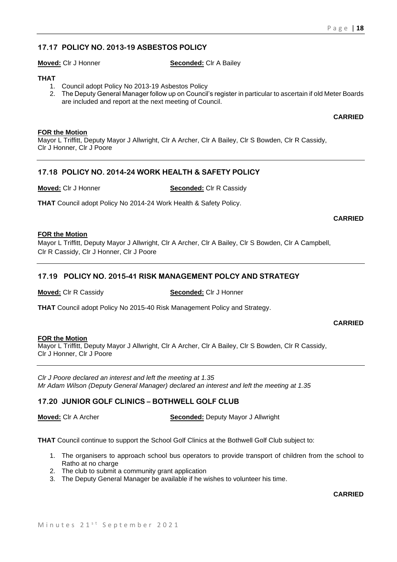# **17.17 POLICY NO. 2013-19 ASBESTOS POLICY**

**Moved:** Clr J Honner **Seconded:** Clr A Bailey

## **THAT**

- 1. Council adopt Policy No 2013-19 Asbestos Policy
- 2. The Deputy General Manager follow up on Council's register in particular to ascertain if old Meter Boards are included and report at the next meeting of Council.

**CARRIED**

## **FOR the Motion**

Mayor L Triffitt, Deputy Mayor J Allwright, Clr A Archer, Clr A Bailey, Clr S Bowden, Clr R Cassidy, Clr J Honner, Clr J Poore

# **17.18 POLICY NO. 2014-24 WORK HEALTH & SAFETY POLICY**

**Moved:** Clr J Honner **Seconded:** Clr R Cassidy

**THAT** Council adopt Policy No 2014-24 Work Health & Safety Policy.

## **CARRIED**

### **FOR the Motion**

Mayor L Triffitt, Deputy Mayor J Allwright, Clr A Archer, Clr A Bailey, Clr S Bowden, Clr A Campbell, Clr R Cassidy, Clr J Honner, Clr J Poore

# **17.19 POLICY NO. 2015-41 RISK MANAGEMENT POLCY AND STRATEGY**

## **Moved:** Clr R Cassidy **Seconded:** Clr J Honner

**THAT** Council adopt Policy No 2015-40 Risk Management Policy and Strategy.

### **CARRIED**

### **FOR the Motion**

Mayor L Triffitt, Deputy Mayor J Allwright, Clr A Archer, Clr A Bailey, Clr S Bowden, Clr R Cassidy, Clr J Honner, Clr J Poore

*Clr J Poore declared an interest and left the meeting at 1.35 Mr Adam Wilson (Deputy General Manager) declared an interest and left the meeting at 1.35*

# **17.20 JUNIOR GOLF CLINICS – BOTHWELL GOLF CLUB**

**Moved:** Clr A Archer **Seconded:** Deputy Mayor J Allwright

**THAT** Council continue to support the School Golf Clinics at the Bothwell Golf Club subject to:

- 1. The organisers to approach school bus operators to provide transport of children from the school to Ratho at no charge
- 2. The club to submit a community grant application
- 3. The Deputy General Manager be available if he wishes to volunteer his time.